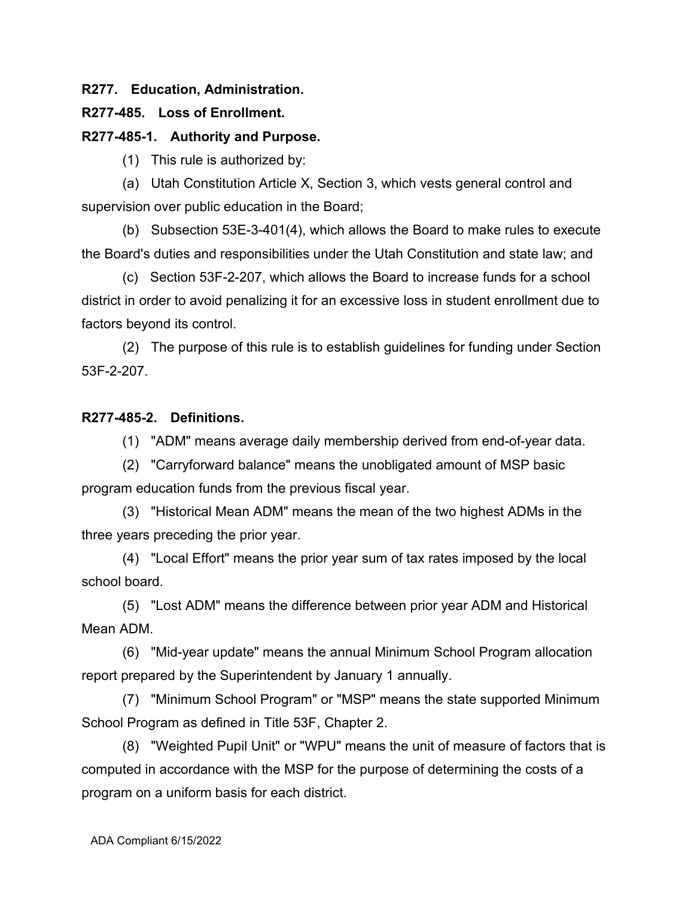## **R277. Education, Administration.**

# **R277-485. Loss of Enrollment.**

## **R277-485-1. Authority and Purpose.**

(1) This rule is authorized by:

(a) Utah Constitution Article X, Section 3, which vests general control and supervision over public education in the Board;

(b) Subsection 53E-3-401(4), which allows the Board to make rules to execute the Board's duties and responsibilities under the Utah Constitution and state law; and

(c) Section 53F-2-207, which allows the Board to increase funds for a school district in order to avoid penalizing it for an excessive loss in student enrollment due to factors beyond its control.

(2) The purpose of this rule is to establish guidelines for funding under Section 53F-2-207.

## **R277-485-2. Definitions.**

(1) "ADM" means average daily membership derived from end-of-year data.

(2) "Carryforward balance" means the unobligated amount of MSP basic program education funds from the previous fiscal year.

(3) "Historical Mean ADM" means the mean of the two highest ADMs in the three years preceding the prior year.

(4) "Local Effort" means the prior year sum of tax rates imposed by the local school board.

(5) "Lost ADM" means the difference between prior year ADM and Historical Mean ADM.

(6) "Mid-year update" means the annual Minimum School Program allocation report prepared by the Superintendent by January 1 annually.

(7) "Minimum School Program" or "MSP" means the state supported Minimum School Program as defined in Title 53F, Chapter 2.

(8) "Weighted Pupil Unit" or "WPU" means the unit of measure of factors that is computed in accordance with the MSP for the purpose of determining the costs of a program on a uniform basis for each district.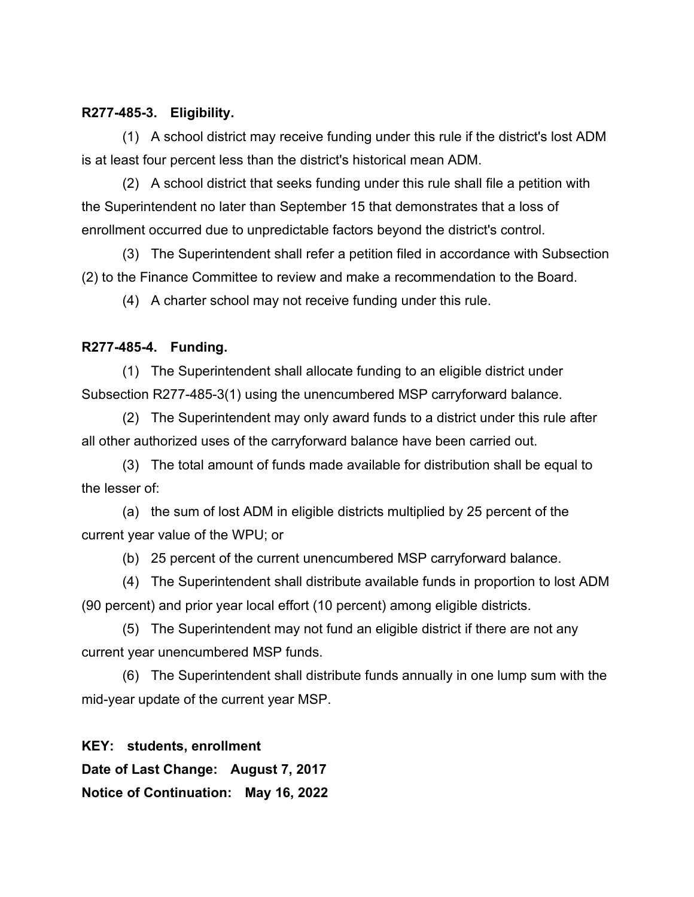#### **R277-485-3. Eligibility.**

(1) A school district may receive funding under this rule if the district's lost ADM is at least four percent less than the district's historical mean ADM.

(2) A school district that seeks funding under this rule shall file a petition with the Superintendent no later than September 15 that demonstrates that a loss of enrollment occurred due to unpredictable factors beyond the district's control.

(3) The Superintendent shall refer a petition filed in accordance with Subsection (2) to the Finance Committee to review and make a recommendation to the Board.

(4) A charter school may not receive funding under this rule.

#### **R277-485-4. Funding.**

(1) The Superintendent shall allocate funding to an eligible district under Subsection R277-485-3(1) using the unencumbered MSP carryforward balance.

(2) The Superintendent may only award funds to a district under this rule after all other authorized uses of the carryforward balance have been carried out.

(3) The total amount of funds made available for distribution shall be equal to the lesser of:

(a) the sum of lost ADM in eligible districts multiplied by 25 percent of the current year value of the WPU; or

(b) 25 percent of the current unencumbered MSP carryforward balance.

(4) The Superintendent shall distribute available funds in proportion to lost ADM (90 percent) and prior year local effort (10 percent) among eligible districts.

(5) The Superintendent may not fund an eligible district if there are not any current year unencumbered MSP funds.

(6) The Superintendent shall distribute funds annually in one lump sum with the mid-year update of the current year MSP.

**KEY: students, enrollment Date of Last Change: August 7, 2017 Notice of Continuation: May 16, 2022**